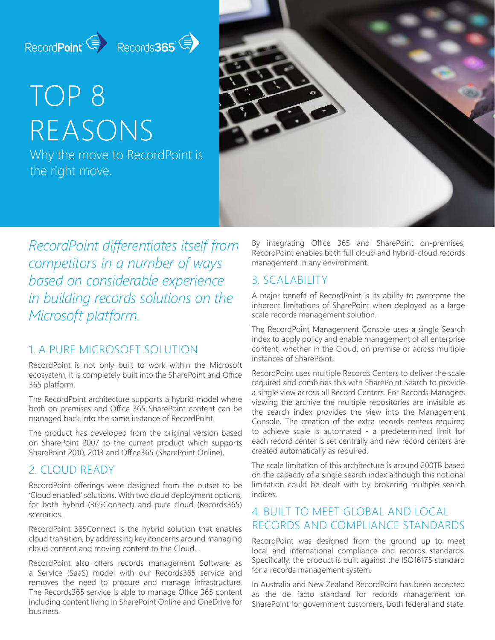## RecordPoint (E) Records365

# TOP 8 REASONS

Why the move to RecordPoint is the right move.



*RecordPoint differentiates itself from competitors in a number of ways based on considerable experience in building records solutions on the Microsoft platform.*

### 1. A PURE MICROSOFT SOLUTION

RecordPoint is not only built to work within the Microsoft ecosystem, it is completely built into the SharePoint and Office 365 platform.

The RecordPoint architecture supports a hybrid model where both on premises and Office 365 SharePoint content can be managed back into the same instance of RecordPoint.

The product has developed from the original version based on SharePoint 2007 to the current product which supports SharePoint 2010, 2013 and Office365 (SharePoint Online).

### 2. CLOUD READY

RecordPoint offerings were designed from the outset to be 'Cloud enabled' solutions. With two cloud deployment options, for both hybrid (365Connect) and pure cloud (Records365) scenarios.

RecordPoint 365Connect is the hybrid solution that enables cloud transition, by addressing key concerns around managing cloud content and moving content to the Cloud. .

RecordPoint also offers records management Software as a Service (SaaS) model with our Records365 service and removes the need to procure and manage infrastructure. The Records365 service is able to manage Office 365 content including content living in SharePoint Online and OneDrive for business.

By integrating Office 365 and SharePoint on-premises, RecordPoint enables both full cloud and hybrid-cloud records management in any environment.

### 3. SCALABILITY

A major benefit of RecordPoint is its ability to overcome the inherent limitations of SharePoint when deployed as a large scale records management solution.

The RecordPoint Management Console uses a single Search index to apply policy and enable management of all enterprise content, whether in the Cloud, on premise or across multiple instances of SharePoint.

RecordPoint uses multiple Records Centers to deliver the scale required and combines this with SharePoint Search to provide a single view across all Record Centers. For Records Managers viewing the archive the multiple repositories are invisible as the search index provides the view into the Management Console. The creation of the extra records centers required to achieve scale is automated - a predetermined limit for each record center is set centrally and new record centers are created automatically as required.

The scale limitation of this architecture is around 200TB based on the capacity of a single search index although this notional limitation could be dealt with by brokering multiple search indices.

### 4. BUILT TO MEET GLOBAL AND LOCAL RECORDS AND COMPLIANCE STANDARDS

RecordPoint was designed from the ground up to meet local and international compliance and records standards. Specifically, the product is built against the ISO16175 standard for a records management system.

In Australia and New Zealand RecordPoint has been accepted as the de facto standard for records management on SharePoint for government customers, both federal and state.